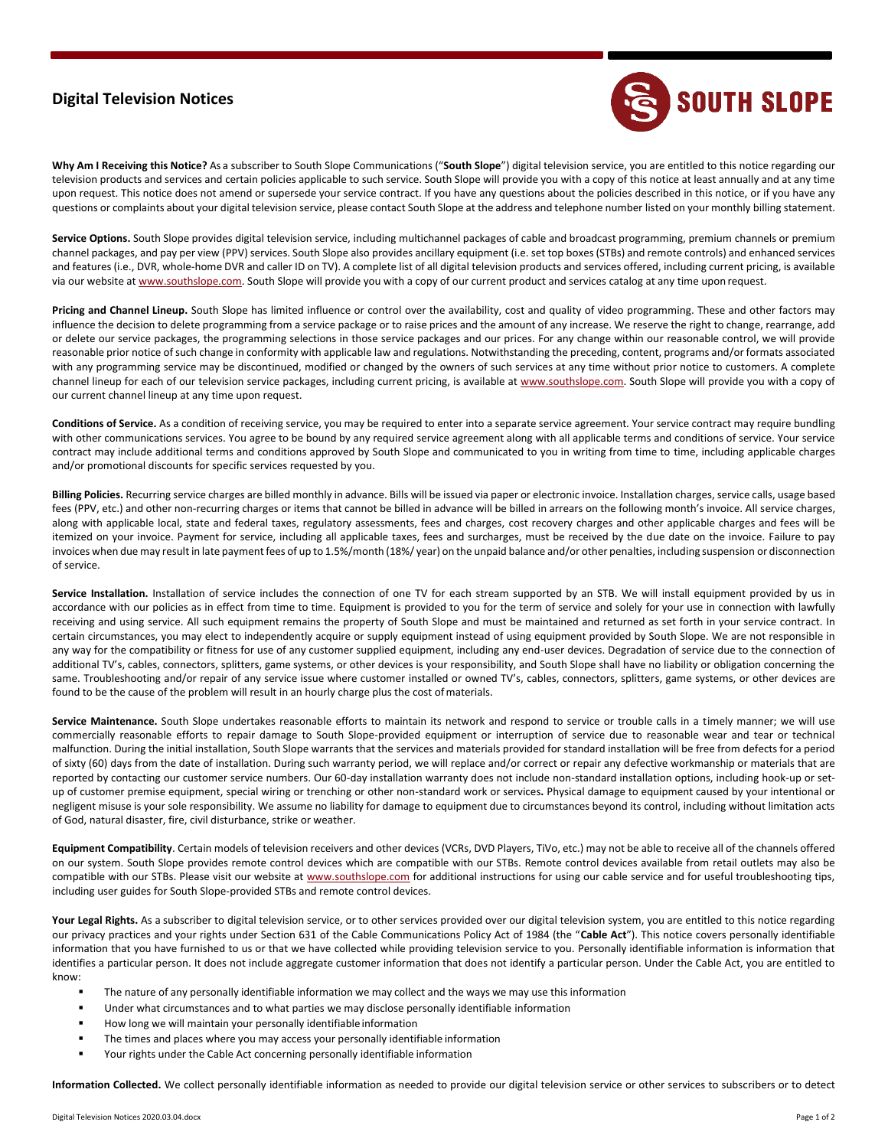## **Digital Television Notices**



**Why Am I Receiving this Notice?** As a subscriber to South Slope Communications ("**South Slope**") digital television service, you are entitled to this notice regarding our television products and services and certain policies applicable to such service. South Slope will provide you with a copy of this notice at least annually and at any time upon request. This notice does not amend or supersede your service contract. If you have any questions about the policies described in this notice, or if you have any questions or complaints about your digital television service, please contact South Slope at the address and telephone number listed on your monthly billing statement.

Service Options. South Slope provides digital television service, including multichannel packages of cable and broadcast programming, premium channels or premium channel packages, and pay per view (PPV) services. South Slope also provides ancillary equipment (i.e. set top boxes (STBs) and remote controls) and enhanced services and features (i.e., DVR, whole-home DVR and caller ID on TV). A complete list of all digital television products and services offered, including current pricing, is available via our website at [www.southslope.com. S](http://www.southslope.com/)outh Slope will provide you with a copy of our current product and services catalog at any time upon request.

**Pricing and Channel Lineup.** South Slope has limited influence or control over the availability, cost and quality of video programming. These and other factors may influence the decision to delete programming from a service package or to raise prices and the amount of any increase. We reserve the right to change, rearrange, add or delete our service packages, the programming selections in those service packages and our prices. For any change within our reasonable control, we will provide reasonable prior notice of such change in conformity with applicable law and regulations. Notwithstanding the preceding, content, programs and/or formats associated with any programming service may be discontinued, modified or changed by the owners of such services at any time without prior notice to customers. A complete channel lineup for each of our television service packages, including current pricing, is available at [www.southslope.com. S](http://www.southslope.com/)outh Slope will provide you with a copy of our current channel lineup at any time upon request.

**Conditions of Service.** As a condition of receiving service, you may be required to enter into a separate service agreement. Your service contract may require bundling with other communications services. You agree to be bound by any required service agreement along with all applicable terms and conditions of service. Your service contract may include additional terms and conditions approved by South Slope and communicated to you in writing from time to time, including applicable charges and/or promotional discounts for specific services requested by you.

**Billing Policies.** Recurring service charges are billed monthly in advance. Bills will be issued via paper or electronic invoice. Installation charges, service calls, usage based fees (PPV, etc.) and other non-recurring charges or items that cannot be billed in advance will be billed in arrears on the following month's invoice. All service charges, along with applicable local, state and federal taxes, regulatory assessments, fees and charges, cost recovery charges and other applicable charges and fees will be itemized on your invoice. Payment for service, including all applicable taxes, fees and surcharges, must be received by the due date on the invoice. Failure to pay invoices when due may result in late payment fees of up to 1.5%/month (18%/ year) on the unpaid balance and/or other penalties, including suspension or disconnection of service.

Service Installation. Installation of service includes the connection of one TV for each stream supported by an STB. We will install equipment provided by us in accordance with our policies as in effect from time to time. Equipment is provided to you for the term of service and solely for your use in connection with lawfully receiving and using service. All such equipment remains the property of South Slope and must be maintained and returned as set forth in your service contract. In certain circumstances, you may elect to independently acquire or supply equipment instead of using equipment provided by South Slope. We are not responsible in any way for the compatibility or fitness for use of any customer supplied equipment, including any end-user devices. Degradation of service due to the connection of additional TV's, cables, connectors, splitters, game systems, or other devices is your responsibility, and South Slope shall have no liability or obligation concerning the same. Troubleshooting and/or repair of any service issue where customer installed or owned TV's, cables, connectors, splitters, game systems, or other devices are found to be the cause of the problem will result in an hourly charge plus the cost ofmaterials.

Service Maintenance. South Slope undertakes reasonable efforts to maintain its network and respond to service or trouble calls in a timely manner; we will use commercially reasonable efforts to repair damage to South Slope-provided equipment or interruption of service due to reasonable wear and tear or technical malfunction. During the initial installation, South Slope warrants that the services and materials provided for standard installation will be free from defects for a period of sixty (60) days from the date of installation. During such warranty period, we will replace and/or correct or repair any defective workmanship or materials that are reported by contacting our customer service numbers. Our 60-day installation warranty does not include non-standard installation options, including hook-up or setup of customer premise equipment, special wiring or trenching or other non-standard work or services**.** Physical damage to equipment caused by your intentional or negligent misuse is your sole responsibility. We assume no liability for damage to equipment due to circumstances beyond its control, including without limitation acts of God, natural disaster, fire, civil disturbance, strike or weather.

**Equipment Compatibility**. Certain models of television receivers and other devices (VCRs, DVD Players, TiVo, etc.) may not be able to receive all of the channels offered on our system. South Slope provides remote control devices which are compatible with our STBs. Remote control devices available from retail outlets may also be compatible with our STBs. Please visit our website a[t www.southslope.com](http://www.southslope.com/) for additional instructions for using our cable service and for useful troubleshooting tips, including user guides for South Slope-provided STBs and remote control devices.

Your Legal Rights. As a subscriber to digital television service, or to other services provided over our digital television system, you are entitled to this notice regarding our privacy practices and your rights under Section 631 of the Cable Communications Policy Act of 1984 (the "**Cable Act**"). This notice covers personally identifiable information that you have furnished to us or that we have collected while providing television service to you. Personally identifiable information is information that identifies a particular person. It does not include aggregate customer information that does not identify a particular person. Under the Cable Act, you are entitled to know:

- The nature of any personally identifiable information we may collect and the ways we may use this information
- Under what circumstances and to what parties we may disclose personally identifiable information
- How long we will maintain your personally identifiable information
- The times and places where you may access your personally identifiable information
- Your rights under the Cable Act concerning personally identifiable information

**Information Collected.** We collect personally identifiable information as needed to provide our digital television service or other services to subscribers or to detect